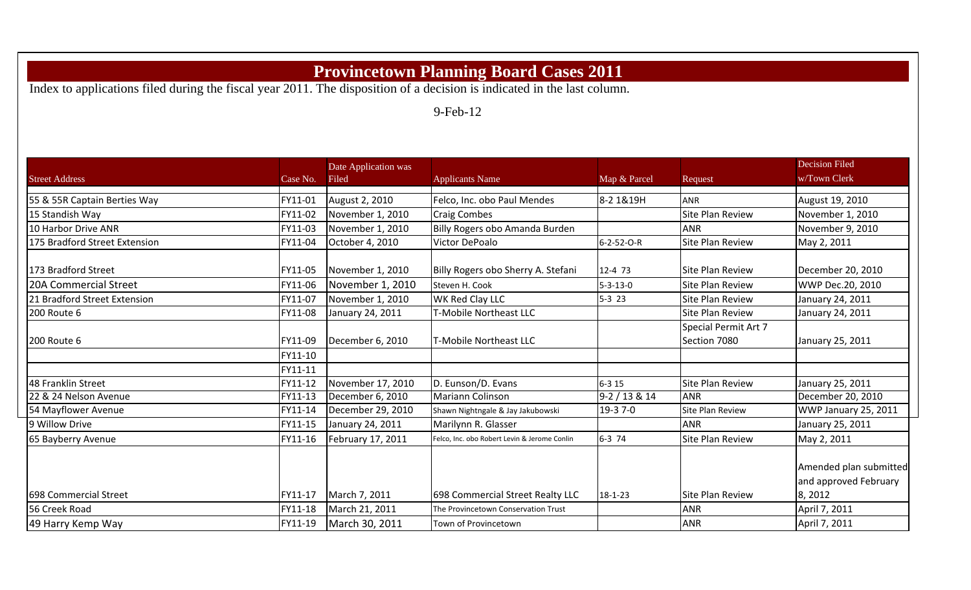## **Provincetown Planning Board Cases 2011**

Index to applications filed during the fiscal year 2011. The disposition of a decision is indicated in the last column.

9-Feb-12

|                               |          | Date Application was |                                              |                  |                         | <b>Decision Filed</b>                                     |
|-------------------------------|----------|----------------------|----------------------------------------------|------------------|-------------------------|-----------------------------------------------------------|
| <b>Street Address</b>         | Case No. | Filed                | <b>Applicants Name</b>                       | Map & Parcel     | Request                 | w/Town Clerk                                              |
| 55 & 55R Captain Berties Way  | FY11-01  | August 2, 2010       | Felco, Inc. obo Paul Mendes                  | 8-2 1&19H        | <b>ANR</b>              | August 19, 2010                                           |
| 15 Standish Way               | FY11-02  | November 1, 2010     | <b>Craig Combes</b>                          |                  | <b>Site Plan Review</b> | November 1, 2010                                          |
| 10 Harbor Drive ANR           | FY11-03  | November 1, 2010     | Billy Rogers obo Amanda Burden               |                  | <b>ANR</b>              | November 9, 2010                                          |
| 175 Bradford Street Extension | FY11-04  | October 4, 2010      | Victor DePoalo                               | 6-2-52-O-R       | <b>Site Plan Review</b> | May 2, 2011                                               |
| 173 Bradford Street           | FY11-05  | November 1, 2010     | Billy Rogers obo Sherry A. Stefani           | 12-4 73          | <b>Site Plan Review</b> | December 20, 2010                                         |
| <b>20A Commercial Street</b>  | FY11-06  | November 1, 2010     | Steven H. Cook                               | $5 - 3 - 13 - 0$ | <b>Site Plan Review</b> | WWP Dec.20, 2010                                          |
| 21 Bradford Street Extension  | FY11-07  | November 1, 2010     | <b>WK Red Clay LLC</b>                       | $5-3$ 23         | <b>Site Plan Review</b> | January 24, 2011                                          |
| 200 Route 6                   | FY11-08  | January 24, 2011     | T-Mobile Northeast LLC                       |                  | <b>Site Plan Review</b> | January 24, 2011                                          |
|                               |          |                      |                                              |                  | Special Permit Art 7    |                                                           |
| 200 Route 6                   | FY11-09  | December 6, 2010     | T-Mobile Northeast LLC                       |                  | Section 7080            | January 25, 2011                                          |
|                               | FY11-10  |                      |                                              |                  |                         |                                                           |
|                               | FY11-11  |                      |                                              |                  |                         |                                                           |
| 48 Franklin Street            | FY11-12  | November 17, 2010    | D. Eunson/D. Evans                           | $6 - 315$        | <b>Site Plan Review</b> | January 25, 2011                                          |
| 22 & 24 Nelson Avenue         | FY11-13  | December 6, 2010     | <b>Mariann Colinson</b>                      | $9-2/13 & 14$    | <b>ANR</b>              | December 20, 2010                                         |
| 54 Mayflower Avenue           | FY11-14  | December 29, 2010    | Shawn Nightngale & Jay Jakubowski            | 19-3 7-0         | <b>Site Plan Review</b> | WWP January 25, 2011                                      |
| 9 Willow Drive                | FY11-15  | January 24, 2011     | Marilynn R. Glasser                          |                  | <b>ANR</b>              | January 25, 2011                                          |
| 65 Bayberry Avenue            | FY11-16  | February 17, 2011    | Felco, Inc. obo Robert Levin & Jerome Conlin | 6-3 74           | <b>Site Plan Review</b> | May 2, 2011                                               |
| 698 Commercial Street         | FY11-17  | March 7, 2011        | 698 Commercial Street Realty LLC             | 18-1-23          | <b>Site Plan Review</b> | Amended plan submitted<br>and approved February<br>8,2012 |
| 56 Creek Road                 | FY11-18  | March 21, 2011       | The Provincetown Conservation Trust          |                  | <b>ANR</b>              | April 7, 2011                                             |
| 49 Harry Kemp Way             | FY11-19  | March 30, 2011       | Town of Provincetown                         |                  | <b>ANR</b>              | April 7, 2011                                             |